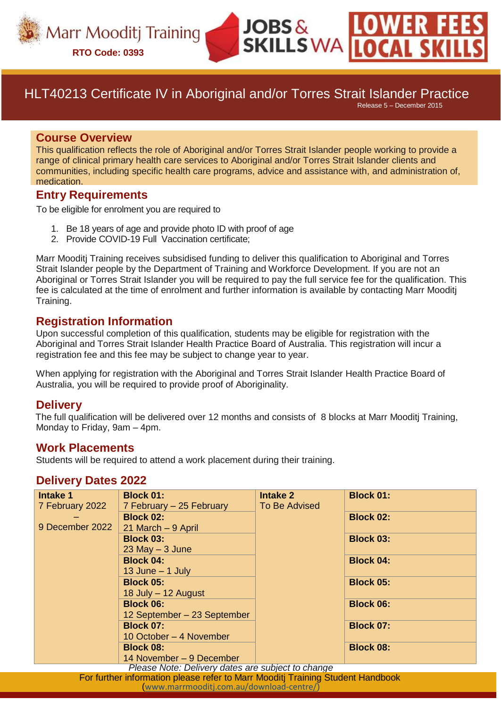

# HLT40213 Certificate IV in Aboriginal and/or Torres Strait Islander Practice

 $JOBS &$ 

**SKILLS WA** 

Release 5 – December 2015

#### **Course Overview**

This qualification reflects the role of Aboriginal and/or Torres Strait Islander people working to provide a range of clinical primary health care services to Aboriginal and/or Torres Strait Islander clients and communities, including specific health care programs, advice and assistance with, and administration of, medication.

#### **Entry Requirements**

To be eligible for enrolment you are required to

- 1. Be 18 years of age and provide photo ID with proof of age
- 2. Provide COVID-19 Full Vaccination certificate;

Marr Mooditj Training receives subsidised funding to deliver this qualification to Aboriginal and Torres Strait Islander people by the Department of Training and Workforce Development. If you are not an Aboriginal or Torres Strait Islander you will be required to pay the full service fee for the qualification. This fee is calculated at the time of enrolment and further information is available by contacting Marr Mooditj Training.

#### **Registration Information**

Upon successful completion of this qualification, students may be eligible for registration with the Aboriginal and Torres Strait Islander Health Practice Board of Australia. This registration will incur a registration fee and this fee may be subject to change year to year.

When applying for registration with the Aboriginal and Torres Strait Islander Health Practice Board of Australia, you will be required to provide proof of Aboriginality.

#### **Delivery**

The full qualification will be delivered over 12 months and consists of 8 blocks at Marr Mooditj Training, Monday to Friday, 9am – 4pm.

#### **Work Placements**

Students will be required to attend a work placement during their training.

#### **Delivery Dates 2022**

| <b>Intake 1</b>                                                                | <b>Block 01:</b>            | <b>Intake 2</b> | <b>Block 01:</b> |
|--------------------------------------------------------------------------------|-----------------------------|-----------------|------------------|
| 7 February 2022                                                                | 7 February - 25 February    | To Be Advised   |                  |
|                                                                                | <b>Block 02:</b>            |                 | <b>Block 02:</b> |
| 9 December 2022                                                                | 21 March - 9 April          |                 |                  |
|                                                                                | <b>Block 03:</b>            |                 | <b>Block 03:</b> |
|                                                                                | $23$ May $-3$ June          |                 |                  |
|                                                                                | <b>Block 04:</b>            |                 | <b>Block 04:</b> |
|                                                                                | 13 June $-$ 1 July          |                 |                  |
|                                                                                | <b>Block 05:</b>            |                 | <b>Block 05:</b> |
|                                                                                | 18 July - 12 August         |                 |                  |
|                                                                                | <b>Block 06:</b>            |                 | <b>Block 06:</b> |
|                                                                                | 12 September - 23 September |                 |                  |
|                                                                                | <b>Block 07:</b>            |                 | <b>Block 07:</b> |
|                                                                                | 10 October – 4 November     |                 |                  |
|                                                                                | <b>Block 08:</b>            |                 | <b>Block 08:</b> |
|                                                                                | 14 November – 9 December    |                 |                  |
| Please Note: Delivery dates are subject to change                              |                             |                 |                  |
| For further information please refer to Marr Mooditj Training Student Handbook |                             |                 |                  |
| (www.marrmooditj.com.au/download-centre/)                                      |                             |                 |                  |